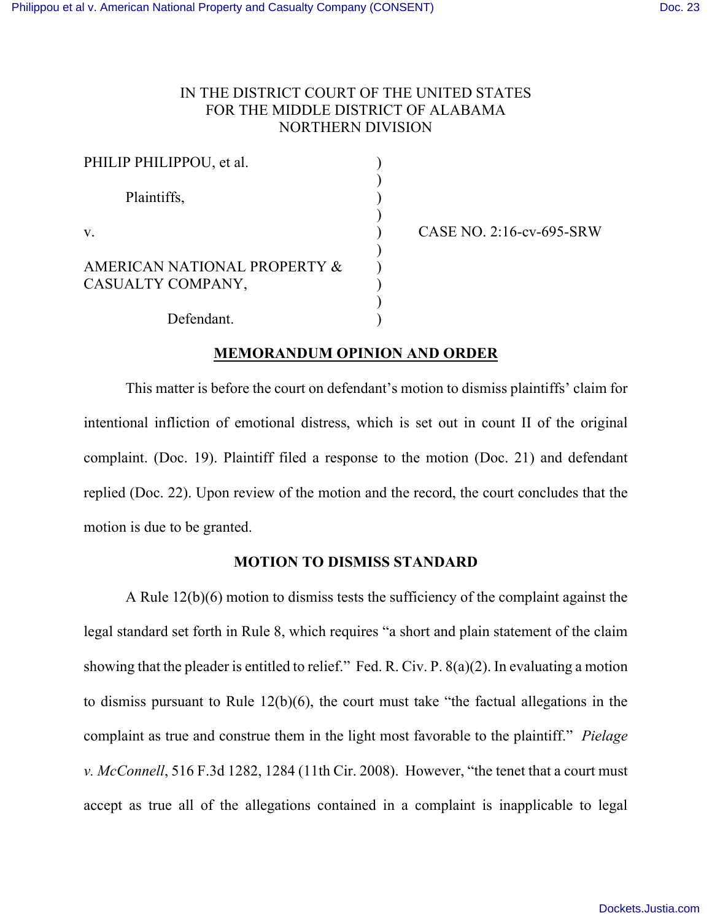## IN THE DISTRICT COURT OF THE UNITED STATES FOR THE MIDDLE DISTRICT OF ALABAMA NORTHERN DIVISION

| PHILIP PHILIPPOU, et al.                          |  |
|---------------------------------------------------|--|
| Plaintiffs,                                       |  |
| $V_{\cdot}$                                       |  |
| AMERICAN NATIONAL PROPERTY &<br>CASUALTY COMPANY, |  |
| $\mathbf{D}$ of $\mathbf{C}$ and $\mathbf{D}$     |  |

CASE NO.  $2:16$ -cv-695-SRW

Defendant.

# **MEMORANDUM OPINION AND ORDER**

This matter is before the court on defendant's motion to dismiss plaintiffs' claim for intentional infliction of emotional distress, which is set out in count II of the original complaint. (Doc. 19). Plaintiff filed a response to the motion (Doc. 21) and defendant replied (Doc. 22). Upon review of the motion and the record, the court concludes that the motion is due to be granted.

## **MOTION TO DISMISS STANDARD**

A Rule 12(b)(6) motion to dismiss tests the sufficiency of the complaint against the legal standard set forth in Rule 8, which requires "a short and plain statement of the claim showing that the pleader is entitled to relief." Fed. R. Civ. P. 8(a)(2). In evaluating a motion to dismiss pursuant to Rule 12(b)(6), the court must take "the factual allegations in the complaint as true and construe them in the light most favorable to the plaintiff." *Pielage v. McConnell*, 516 F.3d 1282, 1284 (11th Cir. 2008). However, "the tenet that a court must accept as true all of the allegations contained in a complaint is inapplicable to legal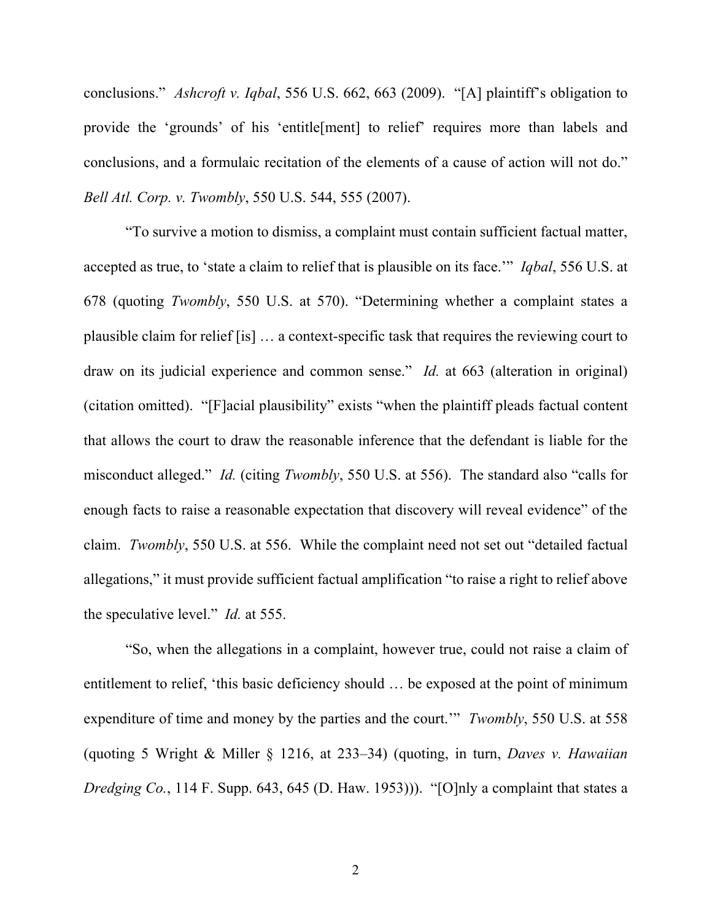conclusions." *Ashcroft v. Iqbal*, 556 U.S. 662, 663 (2009). "[A] plaintiff's obligation to provide the 'grounds' of his 'entitle[ment] to relief' requires more than labels and conclusions, and a formulaic recitation of the elements of a cause of action will not do." *Bell Atl. Corp. v. Twombly*, 550 U.S. 544, 555 (2007).

"To survive a motion to dismiss, a complaint must contain sufficient factual matter, accepted as true, to 'state a claim to relief that is plausible on its face.'" *Iqbal*, 556 U.S. at 678 (quoting *Twombly*, 550 U.S. at 570). "Determining whether a complaint states a plausible claim for relief [is] … a context-specific task that requires the reviewing court to draw on its judicial experience and common sense." *Id.* at 663 (alteration in original) (citation omitted). "[F]acial plausibility" exists "when the plaintiff pleads factual content that allows the court to draw the reasonable inference that the defendant is liable for the misconduct alleged." *Id.* (citing *Twombly*, 550 U.S. at 556). The standard also "calls for enough facts to raise a reasonable expectation that discovery will reveal evidence" of the claim. *Twombly*, 550 U.S. at 556. While the complaint need not set out "detailed factual allegations," it must provide sufficient factual amplification "to raise a right to relief above the speculative level." *Id.* at 555.

"So, when the allegations in a complaint, however true, could not raise a claim of entitlement to relief, 'this basic deficiency should … be exposed at the point of minimum expenditure of time and money by the parties and the court.'" *Twombly*, 550 U.S. at 558 (quoting 5 Wright & Miller § 1216, at 233–34) (quoting, in turn, *Daves v. Hawaiian Dredging Co.*, 114 F. Supp. 643, 645 (D. Haw. 1953))). "[O]nly a complaint that states a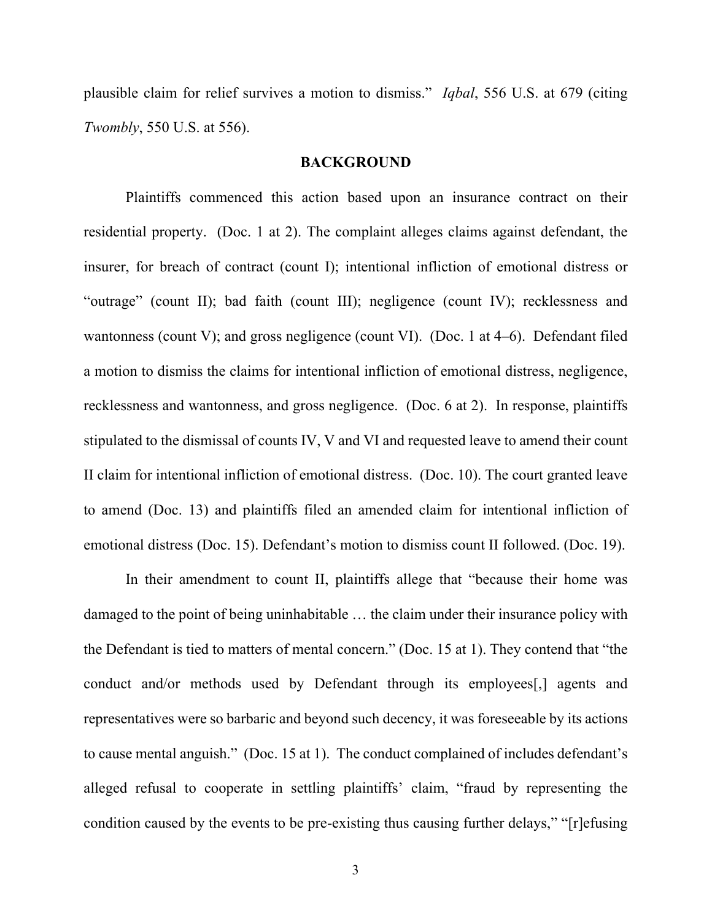plausible claim for relief survives a motion to dismiss." *Iqbal*, 556 U.S. at 679 (citing *Twombly*, 550 U.S. at 556).

#### **BACKGROUND**

Plaintiffs commenced this action based upon an insurance contract on their residential property. (Doc. 1 at 2). The complaint alleges claims against defendant, the insurer, for breach of contract (count I); intentional infliction of emotional distress or "outrage" (count II); bad faith (count III); negligence (count IV); recklessness and wantonness (count V); and gross negligence (count VI). (Doc. 1 at 4–6). Defendant filed a motion to dismiss the claims for intentional infliction of emotional distress, negligence, recklessness and wantonness, and gross negligence. (Doc. 6 at 2). In response, plaintiffs stipulated to the dismissal of counts IV, V and VI and requested leave to amend their count II claim for intentional infliction of emotional distress. (Doc. 10). The court granted leave to amend (Doc. 13) and plaintiffs filed an amended claim for intentional infliction of emotional distress (Doc. 15). Defendant's motion to dismiss count II followed. (Doc. 19).

In their amendment to count II, plaintiffs allege that "because their home was damaged to the point of being uninhabitable … the claim under their insurance policy with the Defendant is tied to matters of mental concern." (Doc. 15 at 1). They contend that "the conduct and/or methods used by Defendant through its employees[,] agents and representatives were so barbaric and beyond such decency, it was foreseeable by its actions to cause mental anguish." (Doc. 15 at 1). The conduct complained of includes defendant's alleged refusal to cooperate in settling plaintiffs' claim, "fraud by representing the condition caused by the events to be pre-existing thus causing further delays," "[r]efusing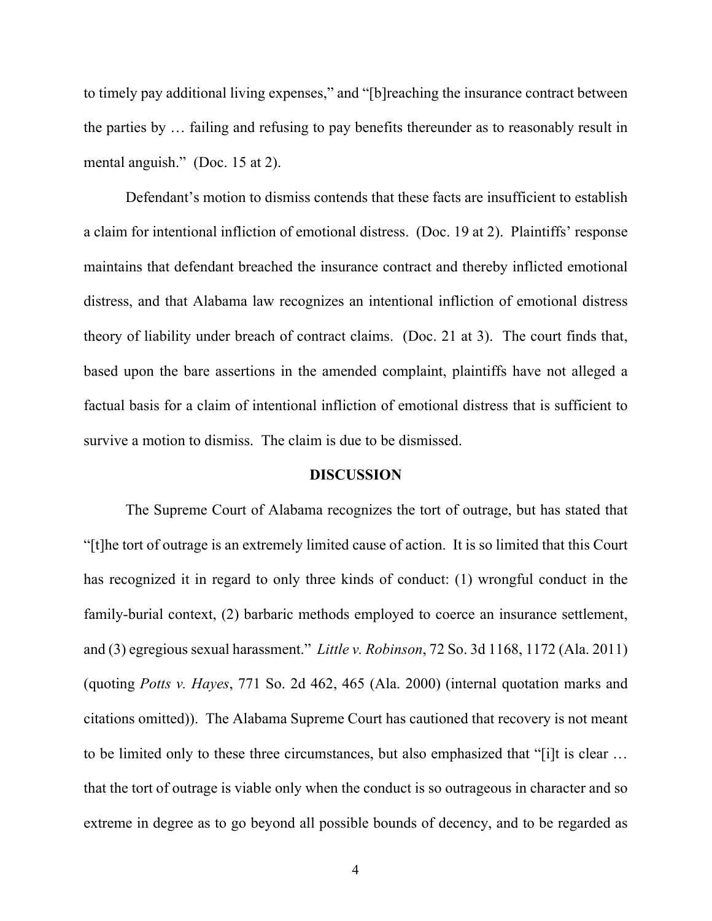to timely pay additional living expenses," and "[b]reaching the insurance contract between the parties by … failing and refusing to pay benefits thereunder as to reasonably result in mental anguish." (Doc. 15 at 2).

Defendant's motion to dismiss contends that these facts are insufficient to establish a claim for intentional infliction of emotional distress. (Doc. 19 at 2). Plaintiffs' response maintains that defendant breached the insurance contract and thereby inflicted emotional distress, and that Alabama law recognizes an intentional infliction of emotional distress theory of liability under breach of contract claims. (Doc. 21 at 3). The court finds that, based upon the bare assertions in the amended complaint, plaintiffs have not alleged a factual basis for a claim of intentional infliction of emotional distress that is sufficient to survive a motion to dismiss. The claim is due to be dismissed.

#### **DISCUSSION**

The Supreme Court of Alabama recognizes the tort of outrage, but has stated that "[t]he tort of outrage is an extremely limited cause of action. It is so limited that this Court has recognized it in regard to only three kinds of conduct: (1) wrongful conduct in the family-burial context, (2) barbaric methods employed to coerce an insurance settlement, and (3) egregious sexual harassment." *Little v. Robinson*, 72 So. 3d 1168, 1172 (Ala. 2011) (quoting *Potts v. Hayes*, 771 So. 2d 462, 465 (Ala. 2000) (internal quotation marks and citations omitted)). The Alabama Supreme Court has cautioned that recovery is not meant to be limited only to these three circumstances, but also emphasized that "[i]t is clear … that the tort of outrage is viable only when the conduct is so outrageous in character and so extreme in degree as to go beyond all possible bounds of decency, and to be regarded as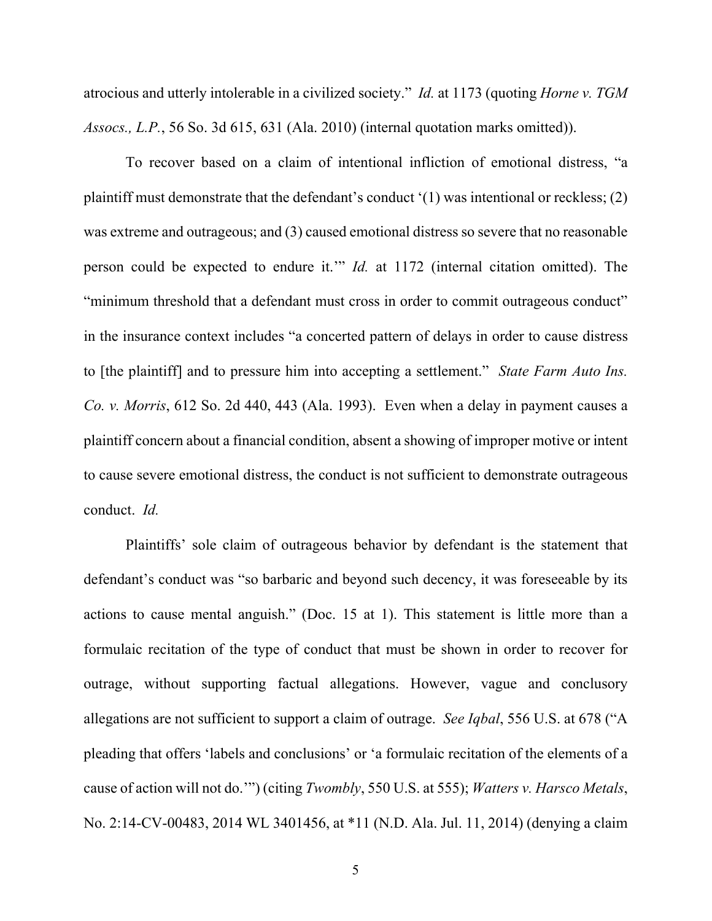atrocious and utterly intolerable in a civilized society." *Id.* at 1173 (quoting *Horne v. TGM Assocs., L.P.*, 56 So. 3d 615, 631 (Ala. 2010) (internal quotation marks omitted)).

To recover based on a claim of intentional infliction of emotional distress, "a plaintiff must demonstrate that the defendant's conduct '(1) was intentional or reckless; (2) was extreme and outrageous; and (3) caused emotional distress so severe that no reasonable person could be expected to endure it.'" *Id.* at 1172 (internal citation omitted). The "minimum threshold that a defendant must cross in order to commit outrageous conduct" in the insurance context includes "a concerted pattern of delays in order to cause distress to [the plaintiff] and to pressure him into accepting a settlement." *State Farm Auto Ins. Co. v. Morris*, 612 So. 2d 440, 443 (Ala. 1993). Even when a delay in payment causes a plaintiff concern about a financial condition, absent a showing of improper motive or intent to cause severe emotional distress, the conduct is not sufficient to demonstrate outrageous conduct. *Id.*

Plaintiffs' sole claim of outrageous behavior by defendant is the statement that defendant's conduct was "so barbaric and beyond such decency, it was foreseeable by its actions to cause mental anguish." (Doc. 15 at 1). This statement is little more than a formulaic recitation of the type of conduct that must be shown in order to recover for outrage, without supporting factual allegations. However, vague and conclusory allegations are not sufficient to support a claim of outrage. *See Iqbal*, 556 U.S. at 678 ("A pleading that offers 'labels and conclusions' or 'a formulaic recitation of the elements of a cause of action will not do.'") (citing *Twombly*, 550 U.S. at 555); *Watters v. Harsco Metals*, No. 2:14-CV-00483, 2014 WL 3401456, at \*11 (N.D. Ala. Jul. 11, 2014) (denying a claim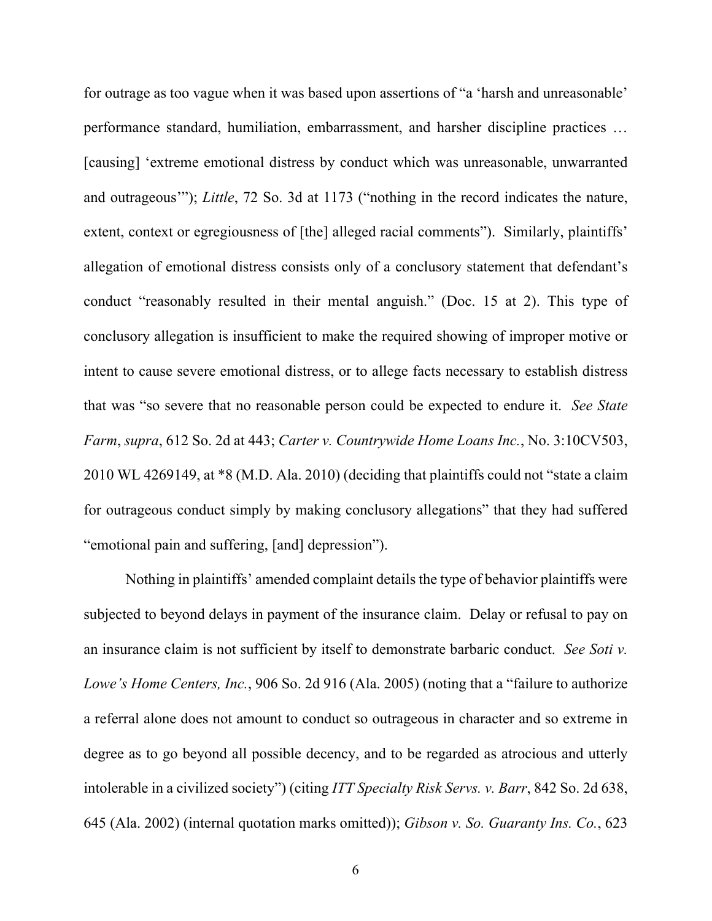for outrage as too vague when it was based upon assertions of "a 'harsh and unreasonable' performance standard, humiliation, embarrassment, and harsher discipline practices … [causing] 'extreme emotional distress by conduct which was unreasonable, unwarranted and outrageous'"); *Little*, 72 So. 3d at 1173 ("nothing in the record indicates the nature, extent, context or egregiousness of [the] alleged racial comments"). Similarly, plaintiffs' allegation of emotional distress consists only of a conclusory statement that defendant's conduct "reasonably resulted in their mental anguish." (Doc. 15 at 2). This type of conclusory allegation is insufficient to make the required showing of improper motive or intent to cause severe emotional distress, or to allege facts necessary to establish distress that was "so severe that no reasonable person could be expected to endure it. *See State Farm*, *supra*, 612 So. 2d at 443; *Carter v. Countrywide Home Loans Inc.*, No. 3:10CV503, 2010 WL 4269149, at \*8 (M.D. Ala. 2010) (deciding that plaintiffs could not "state a claim for outrageous conduct simply by making conclusory allegations" that they had suffered "emotional pain and suffering, [and] depression").

Nothing in plaintiffs' amended complaint details the type of behavior plaintiffs were subjected to beyond delays in payment of the insurance claim. Delay or refusal to pay on an insurance claim is not sufficient by itself to demonstrate barbaric conduct. *See Soti v. Lowe's Home Centers, Inc.*, 906 So. 2d 916 (Ala. 2005) (noting that a "failure to authorize a referral alone does not amount to conduct so outrageous in character and so extreme in degree as to go beyond all possible decency, and to be regarded as atrocious and utterly intolerable in a civilized society") (citing *ITT Specialty Risk Servs. v. Barr*, 842 So. 2d 638, 645 (Ala. 2002) (internal quotation marks omitted)); *Gibson v. So. Guaranty Ins. Co.*, 623